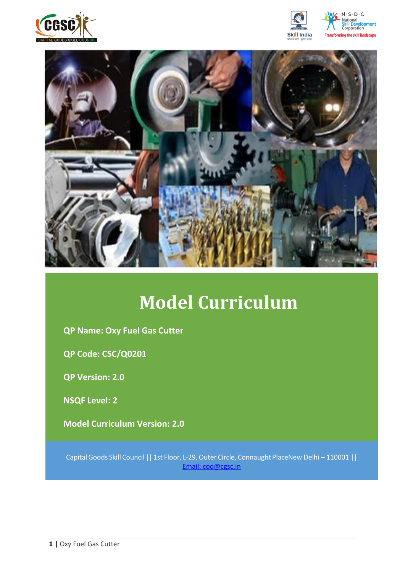







# **Model Curriculum**

**QP Name: Oxy Fuel Gas Cutter**

**QP Code: CSC/Q0201**

**QP Version: 2.0**

**NSQF Level: 2**

**Model Curriculum Version: 2.0** 

Capital Goods Skill Council || 1st Floor, L-29,Outer Circle, Connaught PlaceNew Delhi – 110001 || Email: [coo@cgsc.in](mailto:Email:%20coo@cgsc.in)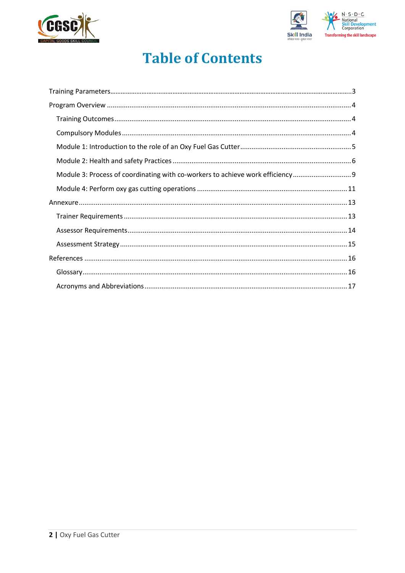



## **Table of Contents**

| Module 3: Process of coordinating with co-workers to achieve work efficiency |  |
|------------------------------------------------------------------------------|--|
|                                                                              |  |
|                                                                              |  |
|                                                                              |  |
|                                                                              |  |
|                                                                              |  |
|                                                                              |  |
|                                                                              |  |
|                                                                              |  |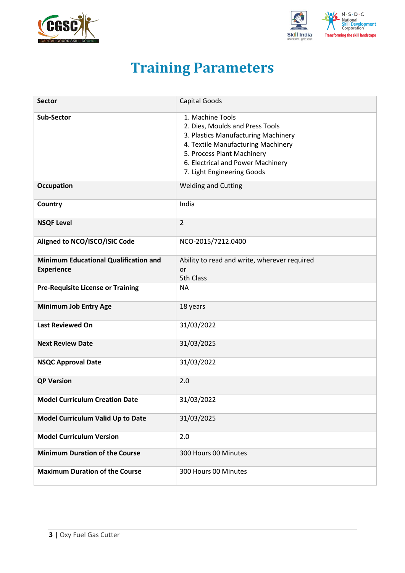<span id="page-2-0"></span>



## **Training Parameters**

| <b>Sector</b>                                                     | Capital Goods                                                                                                                                                                                                                     |
|-------------------------------------------------------------------|-----------------------------------------------------------------------------------------------------------------------------------------------------------------------------------------------------------------------------------|
| <b>Sub-Sector</b>                                                 | 1. Machine Tools<br>2. Dies, Moulds and Press Tools<br>3. Plastics Manufacturing Machinery<br>4. Textile Manufacturing Machinery<br>5. Process Plant Machinery<br>6. Electrical and Power Machinery<br>7. Light Engineering Goods |
| <b>Occupation</b>                                                 | <b>Welding and Cutting</b>                                                                                                                                                                                                        |
| Country                                                           | India                                                                                                                                                                                                                             |
| <b>NSQF Level</b>                                                 | $\overline{2}$                                                                                                                                                                                                                    |
| Aligned to NCO/ISCO/ISIC Code                                     | NCO-2015/7212.0400                                                                                                                                                                                                                |
| <b>Minimum Educational Qualification and</b><br><b>Experience</b> | Ability to read and write, wherever required<br>or<br>5th Class                                                                                                                                                                   |
| <b>Pre-Requisite License or Training</b>                          | <b>NA</b>                                                                                                                                                                                                                         |
| Minimum Job Entry Age                                             | 18 years                                                                                                                                                                                                                          |
| <b>Last Reviewed On</b>                                           | 31/03/2022                                                                                                                                                                                                                        |
| <b>Next Review Date</b>                                           | 31/03/2025                                                                                                                                                                                                                        |
| <b>NSQC Approval Date</b>                                         | 31/03/2022                                                                                                                                                                                                                        |
| <b>QP Version</b>                                                 | 2.0                                                                                                                                                                                                                               |
| <b>Model Curriculum Creation Date</b>                             | 31/03/2022                                                                                                                                                                                                                        |
| Model Curriculum Valid Up to Date                                 | 31/03/2025                                                                                                                                                                                                                        |
| <b>Model Curriculum Version</b>                                   | 2.0                                                                                                                                                                                                                               |
| <b>Minimum Duration of the Course</b>                             | 300 Hours 00 Minutes                                                                                                                                                                                                              |
| <b>Maximum Duration of the Course</b>                             | 300 Hours 00 Minutes                                                                                                                                                                                                              |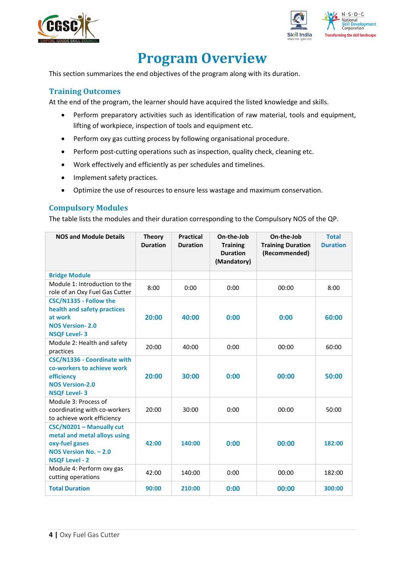



## **Program Overview**

<span id="page-3-0"></span>This section summarizes the end objectives of the program along with its duration.

### <span id="page-3-1"></span>**Training Outcomes**

<span id="page-3-2"></span>At the end of the program, the learner should have acquired the listed knowledge and skills.

- Perform preparatory activities such as identification of raw material, tools and equipment, lifting of workpiece, inspection of tools and equipment etc.
- Perform oxy gas cutting process by following organisational procedure.
- Perform post-cutting operations such as inspection, quality check, cleaning etc.
- Work effectively and efficiently as per schedules and timelines.
- Implement safety practices.
- Optimize the use of resources to ensure less wastage and maximum conservation.

### **Compulsory Modules**

The table lists the modules and their duration corresponding to the Compulsory NOS of the QP.

| <b>NOS and Module Details</b>                                                                                                   | <b>Theory</b><br><b>Duration</b> | <b>Practical</b><br><b>Duration</b> | On-the-Job<br><b>Training</b><br><b>Duration</b><br>(Mandatory) | On-the-Job<br><b>Training Duration</b><br>(Recommended) | <b>Total</b><br><b>Duration</b> |
|---------------------------------------------------------------------------------------------------------------------------------|----------------------------------|-------------------------------------|-----------------------------------------------------------------|---------------------------------------------------------|---------------------------------|
| <b>Bridge Module</b>                                                                                                            |                                  |                                     |                                                                 |                                                         |                                 |
| Module 1: Introduction to the<br>role of an Oxy Fuel Gas Cutter                                                                 | 8:00                             | 0:00                                | 0:00                                                            | 00:00                                                   | 8:00                            |
| CSC/N1335 - Follow the<br>health and safety practices<br>at work<br><b>NOS Version-2.0</b><br><b>NSQF Level-3</b>               | 20:00                            | 40:00                               | 0:00                                                            | 0:00                                                    | 60:00                           |
| Module 2: Health and safety<br>practices                                                                                        | 20:00                            | 40:00                               | 0:00                                                            | 00:00                                                   | 60:00                           |
| <b>CSC/N1336 - Coordinate with</b><br>co-workers to achieve work<br>efficiency<br><b>NOS Version-2.0</b><br><b>NSQF Level-3</b> | 20:00                            | 30:00                               | 0:00                                                            | 00:00                                                   | 50:00                           |
| Module 3: Process of<br>coordinating with co-workers<br>to achieve work efficiency                                              | 20:00                            | 30:00                               | 0:00                                                            | 00:00                                                   | 50:00                           |
| CSC/N0201 - Manually cut<br>metal and metal alloys using<br>oxy-fuel gases<br>NOS Version No. - 2.0<br><b>NSQF Level - 2</b>    | 42:00                            | 140:00                              | 0:00                                                            | 00:00                                                   | 182:00                          |
| Module 4: Perform oxy gas<br>cutting operations                                                                                 | 42:00                            | 140:00                              | 0:00                                                            | 00:00                                                   | 182:00                          |
| <b>Total Duration</b>                                                                                                           | 90:00                            | 210:00                              | 0:00                                                            | 00:00                                                   | 300:00                          |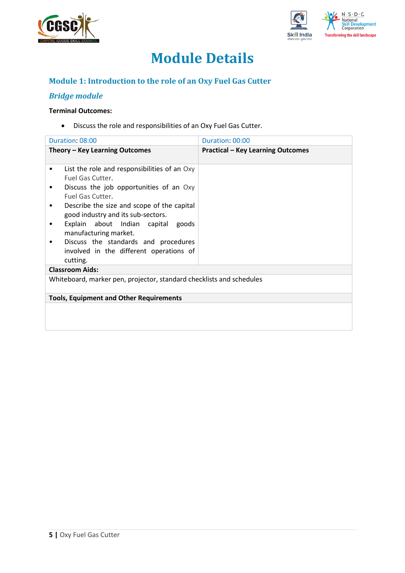



## **Module Details**

## **Module 1: Introduction to the role of an Oxy Fuel Gas Cutter**

## *Bridge module*

#### **Terminal Outcomes:**

• Discuss the role and responsibilities of an Oxy Fuel Gas Cutter.

|   | Duration: 08:00                                                                             | Duration: 00:00                          |
|---|---------------------------------------------------------------------------------------------|------------------------------------------|
|   | Theory – Key Learning Outcomes                                                              | <b>Practical - Key Learning Outcomes</b> |
| ٠ | List the role and responsibilities of an Oxy<br>Fuel Gas Cutter.                            |                                          |
|   | Discuss the job opportunities of an Oxy<br>Fuel Gas Cutter.                                 |                                          |
| ٠ | Describe the size and scope of the capital<br>good industry and its sub-sectors.            |                                          |
|   | Explain about Indian capital goods<br>manufacturing market.                                 |                                          |
|   | Discuss the standards and procedures<br>involved in the different operations of<br>cutting. |                                          |
|   | <b>Classroom Aids:</b>                                                                      |                                          |
|   | Whiteboard, marker pen, projector, standard checklists and schedules                        |                                          |
|   | <b>Tools, Equipment and Other Requirements</b>                                              |                                          |
|   |                                                                                             |                                          |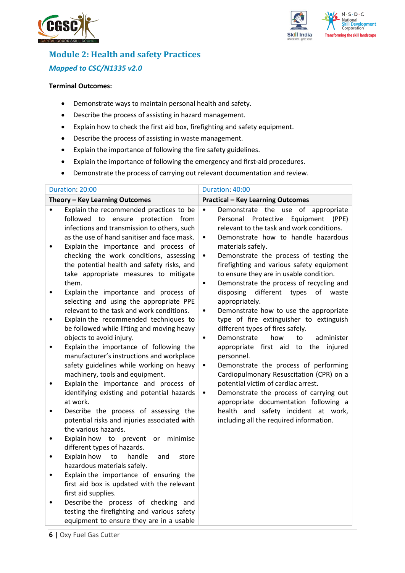



## **Module 2: Health and safety Practices** *Mapped to CSC/N1335 v2.0*

#### **Terminal Outcomes:**

- Demonstrate ways to maintain personal health and safety.
- Describe the process of assisting in hazard management.
- Explain how to check the first aid box, firefighting and safety equipment.
- Describe the process of assisting in waste management.
- Explain the importance of following the fire safety guidelines.
- Explain the importance of following the emergency and first-aid procedures.
- Demonstrate the process of carrying out relevant documentation and review.

| Duration: 20:00                                                                                                                                                                                                                                                                                                                                                                                                                                                                                                                                                                                                                                                                                                                                                                                                                                                                                                                                                                                                                                                                                                                                                                                                                                                                                                                                                                                                                                                                                                                                             | Duration: 40:00                                                                                                                                                                                                                                                                                                                                                                                                                                                                                                                                                                                                                                                                                                                                                                                                                                                                                                                                                                                                                                                  |
|-------------------------------------------------------------------------------------------------------------------------------------------------------------------------------------------------------------------------------------------------------------------------------------------------------------------------------------------------------------------------------------------------------------------------------------------------------------------------------------------------------------------------------------------------------------------------------------------------------------------------------------------------------------------------------------------------------------------------------------------------------------------------------------------------------------------------------------------------------------------------------------------------------------------------------------------------------------------------------------------------------------------------------------------------------------------------------------------------------------------------------------------------------------------------------------------------------------------------------------------------------------------------------------------------------------------------------------------------------------------------------------------------------------------------------------------------------------------------------------------------------------------------------------------------------------|------------------------------------------------------------------------------------------------------------------------------------------------------------------------------------------------------------------------------------------------------------------------------------------------------------------------------------------------------------------------------------------------------------------------------------------------------------------------------------------------------------------------------------------------------------------------------------------------------------------------------------------------------------------------------------------------------------------------------------------------------------------------------------------------------------------------------------------------------------------------------------------------------------------------------------------------------------------------------------------------------------------------------------------------------------------|
| Theory - Key Learning Outcomes                                                                                                                                                                                                                                                                                                                                                                                                                                                                                                                                                                                                                                                                                                                                                                                                                                                                                                                                                                                                                                                                                                                                                                                                                                                                                                                                                                                                                                                                                                                              | <b>Practical - Key Learning Outcomes</b>                                                                                                                                                                                                                                                                                                                                                                                                                                                                                                                                                                                                                                                                                                                                                                                                                                                                                                                                                                                                                         |
| Explain the recommended practices to be<br>$\bullet$<br>followed to ensure protection from<br>infections and transmission to others, such<br>as the use of hand sanitiser and face mask.<br>Explain the importance and process of<br>$\bullet$<br>checking the work conditions, assessing<br>the potential health and safety risks, and<br>take appropriate measures to mitigate<br>them.<br>Explain the importance and process of<br>$\bullet$<br>selecting and using the appropriate PPE<br>relevant to the task and work conditions.<br>Explain the recommended techniques to<br>$\bullet$<br>be followed while lifting and moving heavy<br>objects to avoid injury.<br>Explain the importance of following the<br>$\bullet$<br>manufacturer's instructions and workplace<br>safety guidelines while working on heavy<br>machinery, tools and equipment.<br>Explain the importance and process of<br>$\bullet$<br>identifying existing and potential hazards<br>at work.<br>Describe the process of assessing the<br>$\bullet$<br>potential risks and injuries associated with<br>the various hazards.<br>Explain how to prevent<br>or<br>minimise<br>$\bullet$<br>different types of hazards.<br>Explain how<br>to<br>handle<br>and<br>store<br>$\bullet$<br>hazardous materials safely.<br>Explain the importance of ensuring the<br>$\bullet$<br>first aid box is updated with the relevant<br>first aid supplies.<br>Describe the process of checking and<br>testing the firefighting and various safety<br>equipment to ensure they are in a usable | Demonstrate the use of appropriate<br>$\bullet$<br>Protective<br>Equipment<br>Personal<br>(PPE)<br>relevant to the task and work conditions.<br>Demonstrate how to handle hazardous<br>٠<br>materials safely.<br>Demonstrate the process of testing the<br>٠<br>firefighting and various safety equipment<br>to ensure they are in usable condition.<br>Demonstrate the process of recycling and<br>$\bullet$<br>disposing<br>different<br>types<br>of<br>waste<br>appropriately.<br>Demonstrate how to use the appropriate<br>$\bullet$<br>type of fire extinguisher to extinguish<br>different types of fires safely.<br>administer<br>Demonstrate<br>how<br>to<br>$\bullet$<br>appropriate first aid to the injured<br>personnel.<br>Demonstrate the process of performing<br>$\bullet$<br>Cardiopulmonary Resuscitation (CPR) on a<br>potential victim of cardiac arrest.<br>Demonstrate the process of carrying out<br>$\bullet$<br>appropriate documentation following a<br>health and safety incident at work,<br>including all the required information. |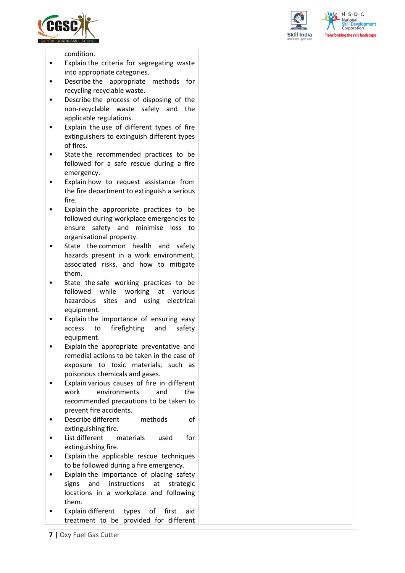





condition.

- Explain the criteria for segregating waste into appropriate categories.
- Describe the appropriate methods for recycling recyclable waste.
- Describe the process of disposing of the non-recyclable waste safely and the applicable regulations.
- Explain the use of different types of fire extinguishers to extinguish different types of fires.
- State the recommended practices to be followed for a safe rescue during a fire emergency.
- Explain how to request assistance from the fire department to extinguish a serious fire.
- Explain the appropriate practices to be followed during workplace emergencies to ensure safety and minimise loss to organisational property.
- State the common health and safety hazards present in a work environment, associated risks, and how to mitigate them.
- State the safe working practices to be followed while working at various hazardous sites and using electrical equipment.
- Explain the importance of ensuring easy access to firefighting and safety equipment.
- Explain the appropriate preventative and remedial actions to be taken in the case of exposure to toxic materials, such as poisonous chemicals and gases.
- Explain various causes of fire in different work environments and the recommended precautions to be taken to prevent fire accidents.
- Describe different methods of extinguishing fire.
- List different materials used for extinguishing fire.
- Explain the applicable rescue techniques to be followed during a fire emergency.
- Explain the importance of placing safety signs and instructions at strategic locations in a workplace and following them.
- Explain different types of first aid treatment to be provided for different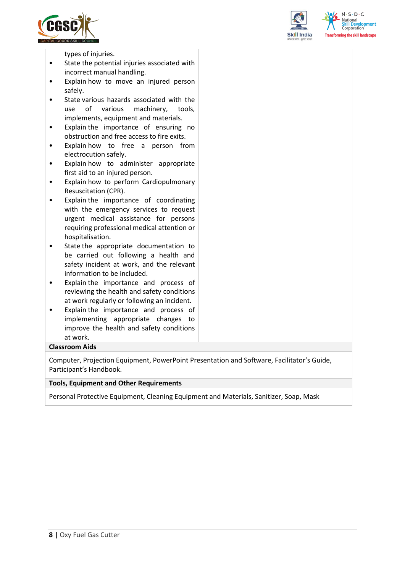



 $N \cdot S \cdot D \cdot C$ forming the skill landscape

types of injuries.

- State the potential injuries associated with incorrect manual handling.
- Explain how to move an injured person safely.
- State various hazards associated with the use of various machinery, tools, implements, equipment and materials.
- Explain the importance of ensuring no obstruction and free access to fire exits.
- Explain how to free a person from electrocution safely.
- Explain how to administer appropriate first aid to an injured person.
- Explain how to perform Cardiopulmonary Resuscitation (CPR).
- Explain the importance of coordinating with the emergency services to request urgent medical assistance for persons requiring professional medical attention or hospitalisation.
- State the appropriate documentation to be carried out following a health and safety incident at work, and the relevant information to be included.
- Explain the importance and process of reviewing the health and safety conditions at work regularly or following an incident.
- Explain the importance and process of implementing appropriate changes to improve the health and safety conditions at work.

#### **Classroom Aids**

Computer, Projection Equipment, PowerPoint Presentation and Software, Facilitator's Guide, Participant's Handbook.

#### **Tools, Equipment and Other Requirements**

Personal Protective Equipment, Cleaning Equipment and Materials, Sanitizer, Soap, Mask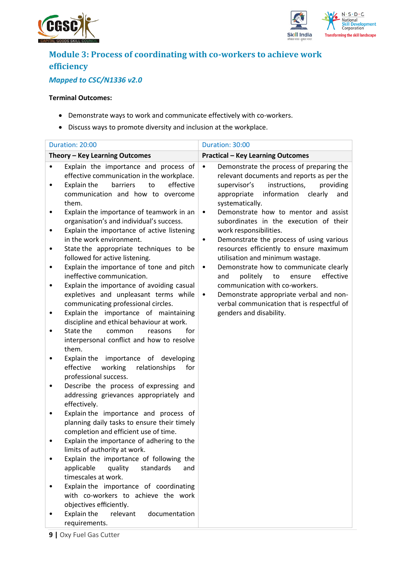



## **Module 3: Process of coordinating with co-workers to achieve work efficiency**

## *Mapped to CSC/N1336 v2.0*

#### **Terminal Outcomes:**

- Demonstrate ways to work and communicate effectively with co-workers.
- Discuss ways to promote diversity and inclusion at the workplace.

|             | Duration: 20:00                                                                                                                                                                                                                                                                                                                              | Duration: 30:00                                                                                                                                                                                                                                                                                              |
|-------------|----------------------------------------------------------------------------------------------------------------------------------------------------------------------------------------------------------------------------------------------------------------------------------------------------------------------------------------------|--------------------------------------------------------------------------------------------------------------------------------------------------------------------------------------------------------------------------------------------------------------------------------------------------------------|
|             | Theory - Key Learning Outcomes                                                                                                                                                                                                                                                                                                               | <b>Practical - Key Learning Outcomes</b>                                                                                                                                                                                                                                                                     |
|             | Explain the importance and process of<br>effective communication in the workplace.<br>to<br>effective<br>Explain the<br>barriers<br>communication and how to overcome<br>them.                                                                                                                                                               | Demonstrate the process of preparing the<br>$\bullet$<br>relevant documents and reports as per the<br>instructions,<br>providing<br>supervisor's<br>information<br>appropriate<br>clearly<br>and<br>systematically.                                                                                          |
| ٠<br>٠<br>٠ | Explain the importance of teamwork in an<br>organisation's and individual's success.<br>Explain the importance of active listening<br>in the work environment.<br>State the appropriate techniques to be<br>followed for active listening.<br>Explain the importance of tone and pitch                                                       | Demonstrate how to mentor and assist<br>$\bullet$<br>subordinates in the execution of their<br>work responsibilities.<br>Demonstrate the process of using various<br>٠<br>resources efficiently to ensure maximum<br>utilisation and minimum wastage.<br>Demonstrate how to communicate clearly<br>$\bullet$ |
|             | ineffective communication.<br>Explain the importance of avoiding casual<br>expletives and unpleasant terms while<br>communicating professional circles.<br>Explain the importance of maintaining<br>discipline and ethical behaviour at work.<br>State the<br>for<br>common<br>reasons<br>interpersonal conflict and how to resolve<br>them. | politely<br>to<br>ensure<br>effective<br>and<br>communication with co-workers.<br>Demonstrate appropriate verbal and non-<br>$\bullet$<br>verbal communication that is respectful of<br>genders and disability.                                                                                              |
| ٠           | Explain the importance of developing<br>effective<br>working<br>relationships<br>for<br>professional success.<br>Describe the process of expressing and<br>addressing grievances appropriately and<br>effectively.                                                                                                                           |                                                                                                                                                                                                                                                                                                              |
|             | Explain the importance and process of<br>planning daily tasks to ensure their timely<br>completion and efficient use of time.                                                                                                                                                                                                                |                                                                                                                                                                                                                                                                                                              |
|             | Explain the importance of adhering to the<br>limits of authority at work.                                                                                                                                                                                                                                                                    |                                                                                                                                                                                                                                                                                                              |
|             | Explain the importance of following the<br>applicable<br>quality<br>standards<br>and<br>timescales at work.<br>Explain the importance of coordinating<br>with co-workers to achieve the work<br>objectives efficiently.<br>Explain the<br>relevant<br>documentation                                                                          |                                                                                                                                                                                                                                                                                                              |
|             | requirements.                                                                                                                                                                                                                                                                                                                                |                                                                                                                                                                                                                                                                                                              |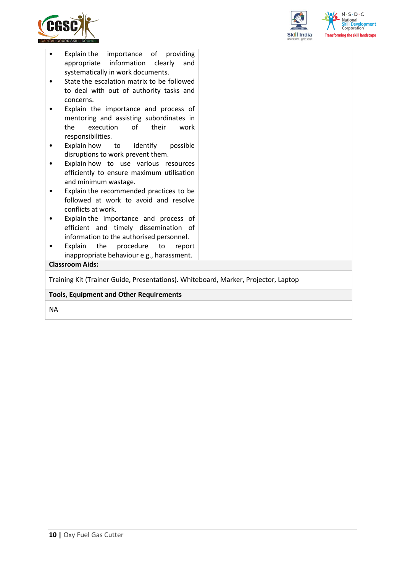



| Explain the importance of providing<br>٠                                           |  |  |  |
|------------------------------------------------------------------------------------|--|--|--|
| appropriate information clearly<br>and                                             |  |  |  |
| systematically in work documents.                                                  |  |  |  |
| State the escalation matrix to be followed                                         |  |  |  |
| to deal with out of authority tasks and                                            |  |  |  |
| concerns.                                                                          |  |  |  |
| Explain the importance and process of                                              |  |  |  |
| mentoring and assisting subordinates in                                            |  |  |  |
| the<br>execution<br>of<br>their<br>work                                            |  |  |  |
| responsibilities.                                                                  |  |  |  |
| Explain how<br>to identify<br>possible                                             |  |  |  |
| disruptions to work prevent them.                                                  |  |  |  |
| Explain how to use various resources                                               |  |  |  |
| efficiently to ensure maximum utilisation                                          |  |  |  |
| and minimum wastage.                                                               |  |  |  |
| Explain the recommended practices to be                                            |  |  |  |
| followed at work to avoid and resolve                                              |  |  |  |
| conflicts at work.                                                                 |  |  |  |
| Explain the importance and process of                                              |  |  |  |
| efficient and timely dissemination of                                              |  |  |  |
| information to the authorised personnel.                                           |  |  |  |
| Explain<br>the<br>procedure<br>to<br>report                                        |  |  |  |
| inappropriate behaviour e.g., harassment.                                          |  |  |  |
| <b>Classroom Aids:</b>                                                             |  |  |  |
| Training Kit (Trainer Guide, Presentations). Whiteboard, Marker, Projector, Laptop |  |  |  |
| <b>Tools, Equipment and Other Requirements</b>                                     |  |  |  |
|                                                                                    |  |  |  |

NA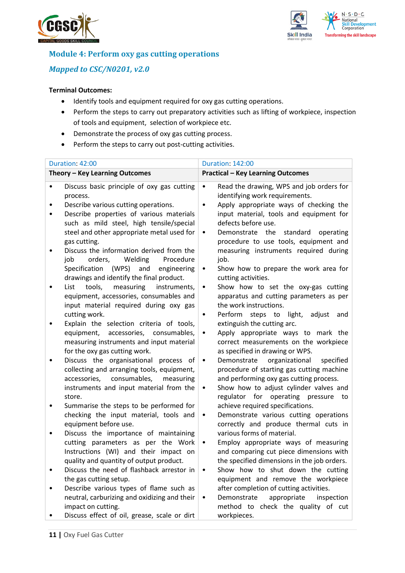



### **Module 4: Perform oxy gas cutting operations**

### *Mapped to CSC/N0201, v2.0*

#### **Terminal Outcomes:**

- Identify tools and equipment required for oxy gas cutting operations.
- Perform the steps to carry out preparatory activities such as lifting of workpiece, inspection of tools and equipment, selection of workpiece etc.
- Demonstrate the process of oxy gas cutting process.
- Perform the steps to carry out post-cutting activities.

|           | Duration: 42:00                                                                                                                                                                                                                      |                                     | <b>Duration: 142:00</b>                                                                                                                                                                                                            |
|-----------|--------------------------------------------------------------------------------------------------------------------------------------------------------------------------------------------------------------------------------------|-------------------------------------|------------------------------------------------------------------------------------------------------------------------------------------------------------------------------------------------------------------------------------|
|           | Theory - Key Learning Outcomes                                                                                                                                                                                                       |                                     | <b>Practical - Key Learning Outcomes</b>                                                                                                                                                                                           |
|           | Discuss basic principle of oxy gas cutting<br>process.<br>Describe various cutting operations.<br>Describe properties of various materials<br>such as mild steel, high tensile/special<br>steel and other appropriate metal used for | $\bullet$<br>$\bullet$<br>$\bullet$ | Read the drawing, WPS and job orders for<br>identifying work requirements.<br>Apply appropriate ways of checking the<br>input material, tools and equipment for<br>defects before use.<br>Demonstrate the<br>standard<br>operating |
| ٠         | gas cutting.<br>Discuss the information derived from the<br>job<br>orders,<br>Welding<br>Procedure<br>(WPS)<br>Specification<br>and<br>engineering<br>drawings and identify the final product.                                       | $\bullet$                           | procedure to use tools, equipment and<br>measuring instruments required during<br>job.<br>Show how to prepare the work area for<br>cutting activities.                                                                             |
| $\bullet$ | tools,<br>measuring<br>List<br>instruments,<br>equipment, accessories, consumables and<br>input material required during oxy gas<br>cutting work.                                                                                    | $\bullet$<br>٠                      | Show how to set the oxy-gas cutting<br>apparatus and cutting parameters as per<br>the work instructions.<br>Perform<br>steps to light, adjust<br>and                                                                               |
|           | Explain the selection criteria of tools,<br>equipment, accessories, consumables,<br>measuring instruments and input material<br>for the oxy gas cutting work.                                                                        | $\bullet$                           | extinguish the cutting arc.<br>Apply appropriate ways to mark the<br>correct measurements on the workpiece<br>as specified in drawing or WPS.                                                                                      |
| ٠         | Discuss the organisational process of<br>collecting and arranging tools, equipment,<br>consumables,<br>accessories,<br>measuring<br>instruments and input material from the<br>store.                                                | $\bullet$<br>٠                      | Demonstrate<br>organizational<br>specified<br>procedure of starting gas cutting machine<br>and performing oxy gas cutting process.<br>Show how to adjust cylinder valves and<br>regulator for operating pressure<br>to             |
| ٠         | Summarise the steps to be performed for<br>checking the input material, tools and<br>equipment before use.<br>Discuss the importance of maintaining                                                                                  | $\bullet$                           | achieve required specifications.<br>Demonstrate various cutting operations<br>correctly and produce thermal cuts in<br>various forms of material.                                                                                  |
|           | cutting parameters as per the Work<br>Instructions (WI) and their impact on<br>quality and quantity of output product.                                                                                                               | ٠                                   | Employ appropriate ways of measuring<br>and comparing cut piece dimensions with<br>the specified dimensions in the job orders.                                                                                                     |
|           | Discuss the need of flashback arrestor in<br>the gas cutting setup.                                                                                                                                                                  |                                     | Show how to shut down the cutting<br>equipment and remove the workpiece                                                                                                                                                            |
|           | Describe various types of flame such as<br>neutral, carburizing and oxidizing and their<br>impact on cutting.<br>Discuss effect of oil, grease, scale or dirt                                                                        |                                     | after completion of cutting activities.<br>Demonstrate<br>appropriate<br>inspection<br>method to check the quality of cut<br>workpieces.                                                                                           |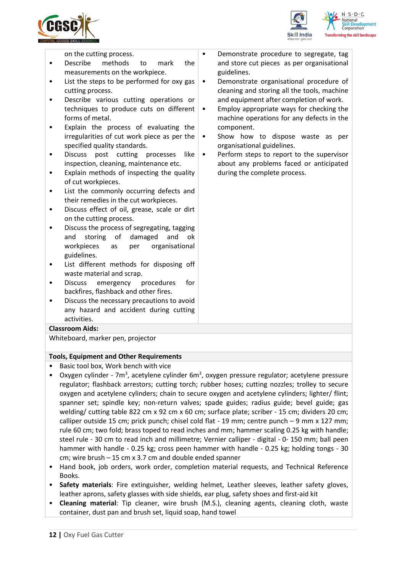



on the cutting process.

- Describe methods to mark the measurements on the workpiece.
- List the steps to be performed for oxy gas cutting process.
- Describe various cutting operations or techniques to produce cuts on different forms of metal.
- Explain the process of evaluating the irregularities of cut work piece as per the specified quality standards.
- Discuss post cutting processes like inspection, cleaning, maintenance etc.
- Explain methods of inspecting the quality of cut workpieces.
- List the commonly occurring defects and their remedies in the cut workpieces.
- Discuss effect of oil, grease, scale or dirt on the cutting process.
- Discuss the process of segregating, tagging and storing of damaged and ok workpieces as per organisational guidelines.
- List different methods for disposing off waste material and scrap.
- Discuss emergency procedures for backfires, flashback and other fires.
- Discuss the necessary precautions to avoid any hazard and accident during cutting activities.

#### **Classroom Aids:**

Whiteboard, marker pen, projector

#### **Tools, Equipment and Other Requirements**

- Basic tool box, Work bench with vice
- Oxygen cylinder 7m<sup>3</sup>, acetylene cylinder 6m<sup>3</sup>, oxygen pressure regulator; acetylene pressure regulator; flashback arrestors; cutting torch; rubber hoses; cutting nozzles; trolley to secure oxygen and acetylene cylinders; chain to secure oxygen and acetylene cylinders; lighter/ flint; spanner set; spindle key; non-return valves; spade guides; radius guide; bevel guide; gas welding/ cutting table 822 cm x 92 cm x 60 cm; surface plate; scriber - 15 cm; dividers 20 cm; calliper outside 15 cm; prick punch; chisel cold flat - 19 mm; centre punch – 9 mm x 127 mm; rule 60 cm; two fold; brass toped to read inches and mm; hammer scaling 0.25 kg with handle; steel rule - 30 cm to read inch and millimetre; Vernier calliper - digital - 0- 150 mm; ball peen hammer with handle - 0.25 kg; cross peen hammer with handle - 0.25 kg; holding tongs - 30 cm; wire brush – 15 cm x 3.7 cm and double ended spanner
- Hand book, job orders, work order, completion material requests, and Technical Reference Books.
- **Safety materials**: Fire extinguisher, welding helmet, Leather sleeves, leather safety gloves, leather aprons, safety glasses with side shields, ear plug, safety shoes and first-aid kit
- **Cleaning material**: Tip cleaner, wire brush (M.S.), cleaning agents, cleaning cloth, waste container, dust pan and brush set, liquid soap, hand towel
- Demonstrate procedure to segregate, tag and store cut pieces as per organisational guidelines.
	- Demonstrate organisational procedure of cleaning and storing all the tools, machine and equipment after completion of work.
- Employ appropriate ways for checking the machine operations for any defects in the component.
- Show how to dispose waste as per organisational guidelines.
- Perform steps to report to the supervisor about any problems faced or anticipated during the complete process.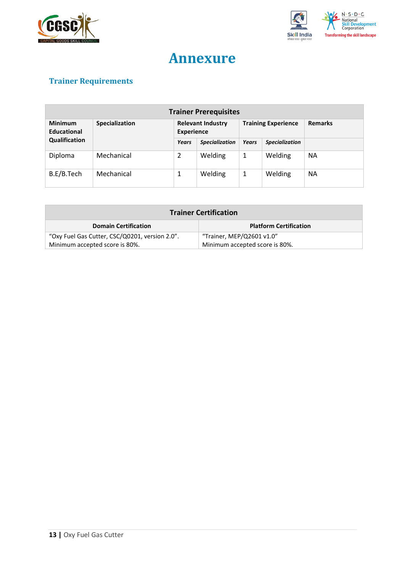



## **Annexure**

## <span id="page-12-0"></span>**Trainer Requirements**

| <b>Trainer Prerequisites</b>  |                |                                               |                       |              |                            |                |
|-------------------------------|----------------|-----------------------------------------------|-----------------------|--------------|----------------------------|----------------|
| <b>Minimum</b><br>Educational | Specialization | <b>Relevant Industry</b><br><b>Experience</b> |                       |              | <b>Training Experience</b> | <b>Remarks</b> |
| Qualification                 |                | Years                                         | <b>Specialization</b> | <b>Years</b> | <b>Specialization</b>      |                |
| Diploma                       | Mechanical     | 2                                             | Welding               | 1            | Welding                    | <b>NA</b>      |
| B.E/B.Tech                    | Mechanical     | 1                                             | Welding               | 1            | Welding                    | <b>NA</b>      |

| <b>Trainer Certification</b>                                     |                               |  |  |
|------------------------------------------------------------------|-------------------------------|--|--|
| <b>Domain Certification</b>                                      | <b>Platform Certification</b> |  |  |
| "Oxy Fuel Gas Cutter, CSC/Q0201, version 2.0".                   | "Trainer, MEP/Q2601 v1.0"     |  |  |
| Minimum accepted score is 80%.<br>Minimum accepted score is 80%. |                               |  |  |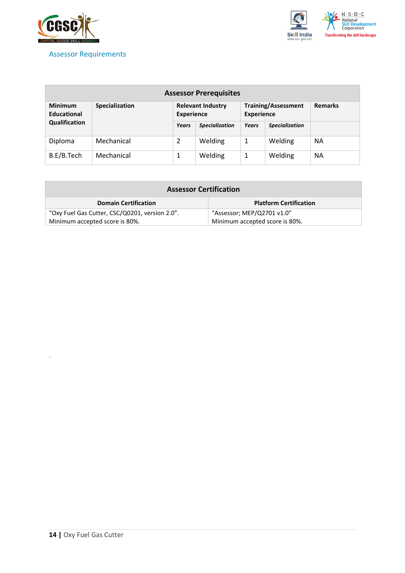

#### <span id="page-13-0"></span>Assessor Requirements



| <b>Assessor Prerequisites</b>        |                       |                                               |                       |                   |                            |                |
|--------------------------------------|-----------------------|-----------------------------------------------|-----------------------|-------------------|----------------------------|----------------|
| <b>Minimum</b><br><b>Educational</b> | <b>Specialization</b> | <b>Relevant Industry</b><br><b>Experience</b> |                       | <b>Experience</b> | <b>Training/Assessment</b> | <b>Remarks</b> |
| Qualification                        |                       | Years                                         | <b>Specialization</b> | <b>Years</b>      | <b>Specialization</b>      |                |
| Diploma                              | Mechanical            | 2                                             | Welding               | 1                 | Welding                    | <b>NA</b>      |
| B.E/B.Tech                           | Mechanical            |                                               | Welding               | 1                 | Welding                    | <b>NA</b>      |

| <b>Assessor Certification</b>                                    |                               |  |  |
|------------------------------------------------------------------|-------------------------------|--|--|
| <b>Domain Certification</b>                                      | <b>Platform Certification</b> |  |  |
| "Oxy Fuel Gas Cutter, CSC/Q0201, version 2.0".                   | "Assessor; MEP/Q2701 v1.0"    |  |  |
| Minimum accepted score is 80%.<br>Minimum accepted score is 80%. |                               |  |  |

*`*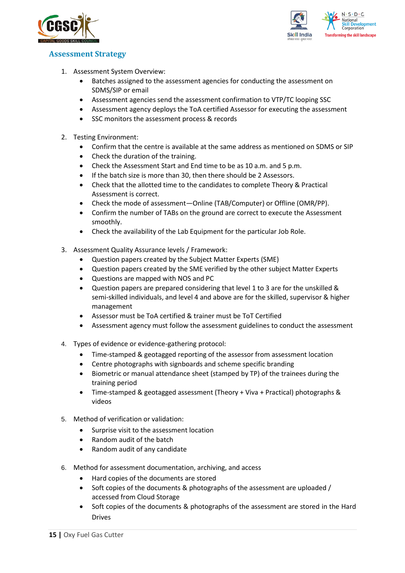



### <span id="page-14-0"></span>**Assessment Strategy**

- 1. Assessment System Overview:
	- Batches assigned to the assessment agencies for conducting the assessment on SDMS/SIP or email
	- Assessment agencies send the assessment confirmation to VTP/TC looping SSC
	- Assessment agency deploys the ToA certified Assessor for executing the assessment
	- SSC monitors the assessment process & records
- 2. Testing Environment:
	- Confirm that the centre is available at the same address as mentioned on SDMS or SIP
	- Check the duration of the training.
	- Check the Assessment Start and End time to be as 10 a.m. and 5 p.m.
	- If the batch size is more than 30, then there should be 2 Assessors.
	- Check that the allotted time to the candidates to complete Theory & Practical Assessment is correct.
	- Check the mode of assessment—Online (TAB/Computer) or Offline (OMR/PP).
	- Confirm the number of TABs on the ground are correct to execute the Assessment smoothly.
	- Check the availability of the Lab Equipment for the particular Job Role.
- 3. Assessment Quality Assurance levels / Framework:
	- Question papers created by the Subject Matter Experts (SME)
	- Question papers created by the SME verified by the other subject Matter Experts
	- Questions are mapped with NOS and PC
	- Question papers are prepared considering that level 1 to 3 are for the unskilled & semi-skilled individuals, and level 4 and above are for the skilled, supervisor & higher management
	- Assessor must be ToA certified & trainer must be ToT Certified
	- Assessment agency must follow the assessment guidelines to conduct the assessment
- 4. Types of evidence or evidence-gathering protocol:
	- Time-stamped & geotagged reporting of the assessor from assessment location
	- Centre photographs with signboards and scheme specific branding
	- Biometric or manual attendance sheet (stamped by TP) of the trainees during the training period
	- Time-stamped & geotagged assessment (Theory + Viva + Practical) photographs & videos
- 5. Method of verification or validation:
	- Surprise visit to the assessment location
	- Random audit of the batch
	- Random audit of any candidate
- 6. Method for assessment documentation, archiving, and access
	- Hard copies of the documents are stored
	- Soft copies of the documents & photographs of the assessment are uploaded / accessed from Cloud Storage
	- Soft copies of the documents & photographs of the assessment are stored in the Hard Drives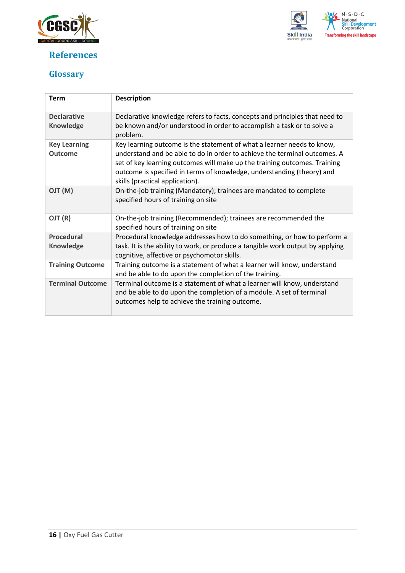

## <span id="page-15-0"></span>**References**



## <span id="page-15-1"></span>**Glossary**

| <b>Term</b>                           | <b>Description</b>                                                                                                                                                                                                                                                                                                                            |
|---------------------------------------|-----------------------------------------------------------------------------------------------------------------------------------------------------------------------------------------------------------------------------------------------------------------------------------------------------------------------------------------------|
| <b>Declarative</b><br>Knowledge       | Declarative knowledge refers to facts, concepts and principles that need to<br>be known and/or understood in order to accomplish a task or to solve a<br>problem.                                                                                                                                                                             |
| <b>Key Learning</b><br><b>Outcome</b> | Key learning outcome is the statement of what a learner needs to know,<br>understand and be able to do in order to achieve the terminal outcomes. A<br>set of key learning outcomes will make up the training outcomes. Training<br>outcome is specified in terms of knowledge, understanding (theory) and<br>skills (practical application). |
| (M) TLO                               | On-the-job training (Mandatory); trainees are mandated to complete<br>specified hours of training on site                                                                                                                                                                                                                                     |
| OJT (R)                               | On-the-job training (Recommended); trainees are recommended the<br>specified hours of training on site                                                                                                                                                                                                                                        |
| <b>Procedural</b><br>Knowledge        | Procedural knowledge addresses how to do something, or how to perform a<br>task. It is the ability to work, or produce a tangible work output by applying                                                                                                                                                                                     |
|                                       | cognitive, affective or psychomotor skills.                                                                                                                                                                                                                                                                                                   |
| <b>Training Outcome</b>               | Training outcome is a statement of what a learner will know, understand<br>and be able to do upon the completion of the training.                                                                                                                                                                                                             |
| <b>Terminal Outcome</b>               | Terminal outcome is a statement of what a learner will know, understand<br>and be able to do upon the completion of a module. A set of terminal<br>outcomes help to achieve the training outcome.                                                                                                                                             |